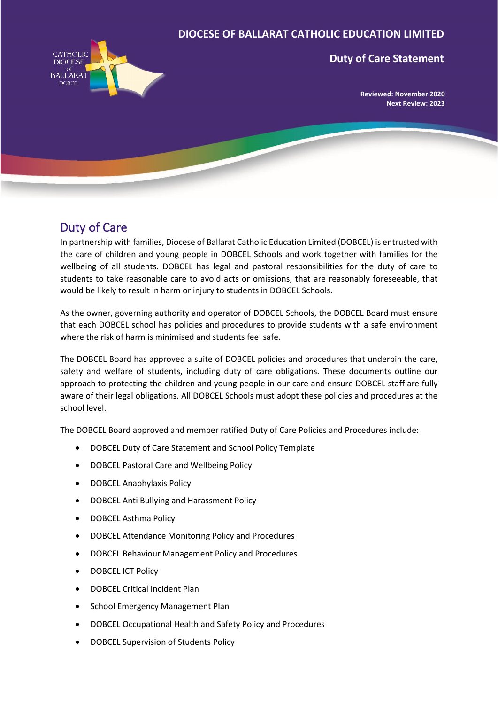#### **DIOCESE OF BALLARAT CATHOLIC EDUCATION LIMITED**



#### **Duty of Care Statement**

**Reviewed: November 2020 Next Review: 2023**

### Duty of Care

In partnership with families, Diocese of Ballarat Catholic Education Limited (DOBCEL) is entrusted with the care of children and young people in DOBCEL Schools and work together with families for the wellbeing of all students. DOBCEL has legal and pastoral responsibilities for the duty of care to students to take reasonable care to avoid acts or omissions, that are reasonably foreseeable, that would be likely to result in harm or injury to students in DOBCEL Schools.

As the owner, governing authority and operator of DOBCEL Schools, the DOBCEL Board must ensure that each DOBCEL school has policies and procedures to provide students with a safe environment where the risk of harm is minimised and students feel safe.

The DOBCEL Board has approved a suite of DOBCEL policies and procedures that underpin the care, safety and welfare of students, including duty of care obligations. These documents outline our approach to protecting the children and young people in our care and ensure DOBCEL staff are fully aware of their legal obligations. All DOBCEL Schools must adopt these policies and procedures at the school level.

The DOBCEL Board approved and member ratified Duty of Care Policies and Procedures include:

- DOBCEL Duty of Care Statement and School Policy Template
- DOBCEL Pastoral Care and Wellbeing Policy
- DOBCEL Anaphylaxis Policy
- DOBCEL Anti Bullying and Harassment Policy
- DOBCEL Asthma Policy
- DOBCEL Attendance Monitoring Policy and Procedures
- DOBCEL Behaviour Management Policy and Procedures
- DOBCEL ICT Policy
- DOBCEL Critical Incident Plan
- School Emergency Management Plan
- DOBCEL Occupational Health and Safety Policy and Procedures
- DOBCEL Supervision of Students Policy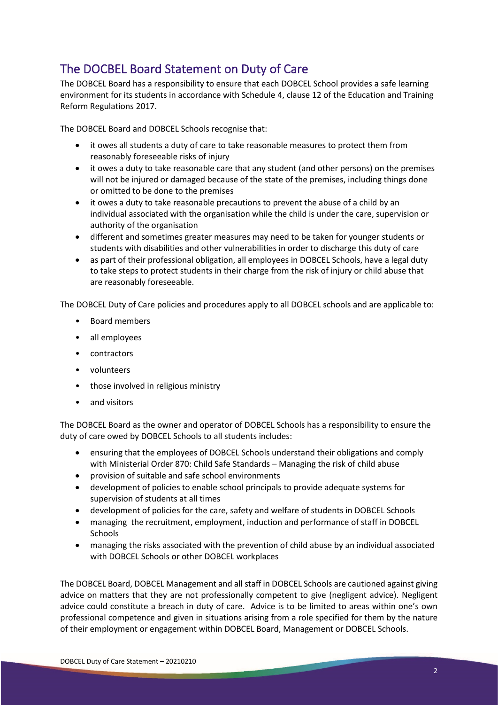# The DOCBEL Board Statement on Duty of Care

The DOBCEL Board has a responsibility to ensure that each DOBCEL School provides a safe learning environment for its students in accordance with Schedule 4, clause 12 of the Education and Training Reform Regulations 2017.

The DOBCEL Board and DOBCEL Schools recognise that:

- it owes all students a duty of care to take reasonable measures to protect them from reasonably foreseeable risks of injury
- it owes a duty to take reasonable care that any student (and other persons) on the premises will not be injured or damaged because of the state of the premises, including things done or omitted to be done to the premises
- it owes a duty to take reasonable precautions to prevent the abuse of a child by an individual associated with the organisation while the child is under the care, supervision or authority of the organisation
- different and sometimes greater measures may need to be taken for younger students or students with disabilities and other vulnerabilities in order to discharge this duty of care
- as part of their professional obligation, all employees in DOBCEL Schools, have a legal duty to take steps to protect students in their charge from the risk of injury or child abuse that are reasonably foreseeable.

The DOBCEL Duty of Care policies and procedures apply to all DOBCEL schools and are applicable to:

- Board members
- all employees
- contractors
- volunteers
- those involved in religious ministry
- and visitors

The DOBCEL Board as the owner and operator of DOBCEL Schools has a responsibility to ensure the duty of care owed by DOBCEL Schools to all students includes:

- ensuring that the employees of DOBCEL Schools understand their obligations and comply with Ministerial Order 870: Child Safe Standards – Managing the risk of child abuse
- provision of suitable and safe school environments
- development of policies to enable school principals to provide adequate systems for supervision of students at all times
- development of policies for the care, safety and welfare of students in DOBCEL Schools
- managing the recruitment, employment, induction and performance of staff in DOBCEL Schools
- managing the risks associated with the prevention of child abuse by an individual associated with DOBCEL Schools or other DOBCEL workplaces

The DOBCEL Board, DOBCEL Management and all staff in DOBCEL Schools are cautioned against giving advice on matters that they are not professionally competent to give (negligent advice). Negligent advice could constitute a breach in duty of care. Advice is to be limited to areas within one's own professional competence and given in situations arising from a role specified for them by the nature of their employment or engagement within DOBCEL Board, Management or DOBCEL Schools.